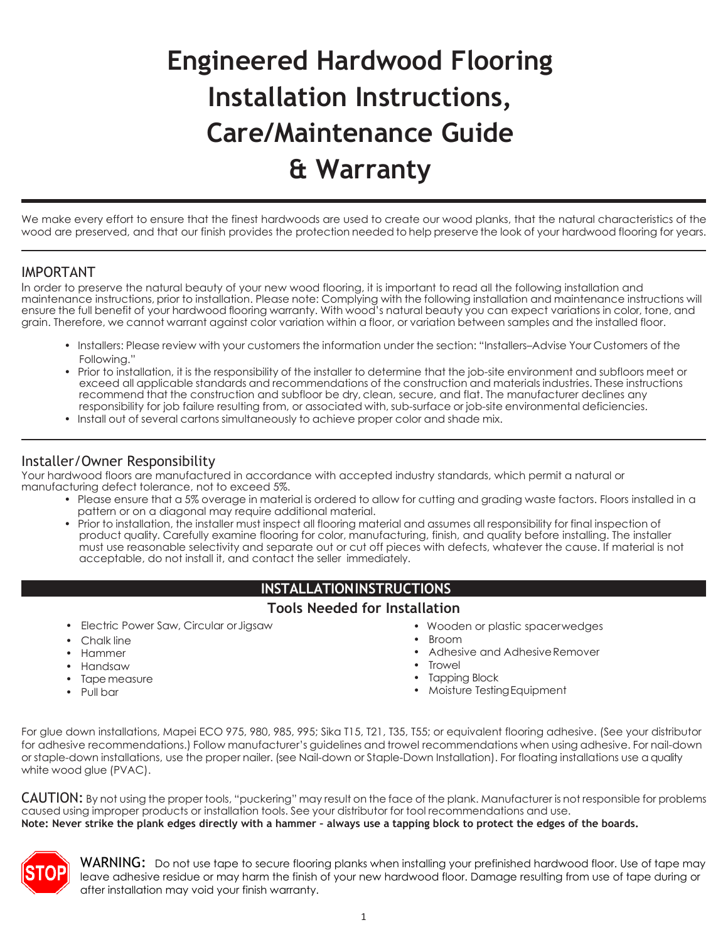# **Engineered Hardwood Flooring Installation Instructions, Care/Maintenance Guide & Warranty**

We make every effort to ensure that the finest hardwoods are used to create our wood planks, that the natural characteristics of the wood are preserved, and that our finish provides the protection needed to help preserve the look of your hardwood flooring for years.

## IMPORTANT

In order to preserve the natural beauty of your new wood flooring, it is important to read all the following installation and maintenance instructions, prior to installation. Please note: Complying with the following installation and maintenance instructions will ensure the full benefit of your hardwood flooring warranty. With wood's natural beauty you can expect variations in color, tone, and grain. Therefore, we cannot warrant against color variation within a floor, or variation between samples and the installed floor.

- Installers: Please review with your customers the information under the section: "Installers–Advise Your Customers of the Following."
- Prior to installation, it is the responsibility of the installer to determine that the job-site environment and subfloors meet or exceed all applicable standards and recommendations of the construction and materials industries. These instructions recommend that the construction and subfloor be dry, clean, secure, and flat. The manufacturer declines any responsibility for job failure resulting from, or associated with, sub-surface or job-site environmental deficiencies.
- Install out of several cartons simultaneously to achieve proper color and shade mix.

## Installer/Owner Responsibility

Your hardwood floors are manufactured in accordance with accepted industry standards, which permit a natural or manufacturing defect tolerance, not to exceed 5%.

- Please ensure that a 5% overage in material is ordered to allow for cutting and grading waste factors. Floors installed in a pattern or on a diagonal may require additional material.
- Prior to installation, the installer must inspect all flooring material and assumes all responsibility for final inspection of product quality. Carefully examine flooring for color, manufacturing, finish, and quality before installing. The installer must use reasonable selectivity and separate out or cut off pieces with defects, whatever the cause. If material is not acceptable, do not install it, and contact the seller immediately.

## **INSTALLATIONINSTRUCTIONS**

#### **Tools Needed for Installation**

- Electric Power Saw, Circular orJigsaw
- Chalk line
- Hammer
- Handsaw
- Tape measure
- Pull bar
- Wooden or plastic spacerwedges
- Broom
- Adhesive and Adhesive Remover
- **Trowel**
- Tapping Block
- Moisture TestingEquipment

For glue down installations, Mapei ECO 975, 980, 985, 995; Sika T15, T21, T35, T55; or equivalent flooring adhesive. (See your distributor for adhesive recommendations.) Follow manufacturer's guidelines and trowel recommendations when using adhesive. For nail-down or staple-down installations, use the proper nailer. (see Nail-down or Staple-Down Installation). For floating installations use a quality white wood glue (PVAC).

CAUTION: By not using the proper tools, "puckering" may result on the face of the plank. Manufacturer is not responsible for problems caused using improper products or installation tools. See your distributor for tool recommendations and use. **Note: Never strike the plank edges directly with a hammer – always use a tapping block to protect the edges of the boards.**



WARNING: Do not use tape to secure flooring planks when installing your prefinished hardwood floor. Use of tape may leave adhesive residue or may harm the finish of your new hardwood floor. Damage resulting from use of tape during or after installation may void your finish warranty.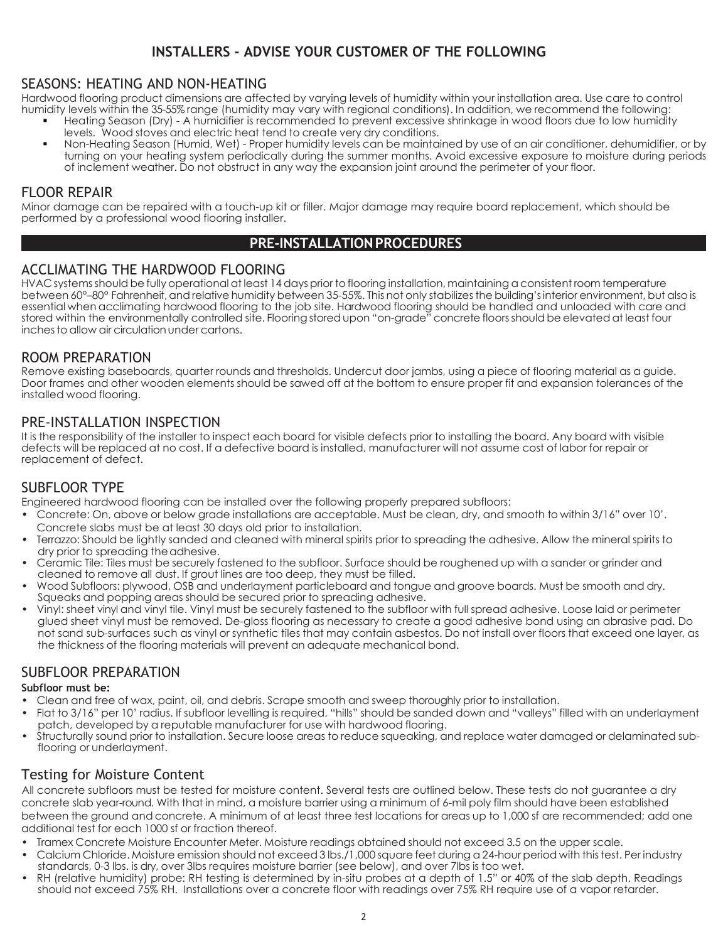## **INSTALLERS - ADVISE YOUR CUSTOMER OF THE FOLLOWING**

## SEASONS: HEATING AND NON-HEATING

Hardwood flooring product dimensions are affected by varying levels of humidity within your installation area. Use care to control humidity levels within the 35-55% range (humidity may vary with regional conditions). In addition, we recommend the following:

- Heating Season (Dry) A humidifier is recommended to prevent excessive shrinkage in wood floors due to low humidity levels. Wood stoves and electric heat tend to create very dry conditions.
- Non-Heating Season (Humid, Wet) Proper humidity levels can be maintained by use of an air conditioner, dehumidifier, or by turning on your heating system periodically during the summer months. Avoid excessive exposure to moisture during periods of inclement weather. Do not obstruct in any way the expansion joint around the perimeter of your floor.

#### FLOOR REPAIR

Minor damage can be repaired with a touch-up kit or filler. Major damage may require board replacement, which should be performed by a professional wood flooring installer.

## **PRE-INSTALLATIONPROCEDURES**

#### ACCLIMATING THE HARDWOOD FLOORING

HVAC systemsshould be fully operational at least 14 days prior to flooring installation, maintaining aconsistent room temperature between 60°–80° Fahrenheit, and relative humidity between 35-55%. This not only stabilizes the building's interior environment, but also is essential when acclimating hardwood flooring to the job site. Hardwood flooring should be handled and unloaded with care and stored within the environmentally controlled site. Flooring storedupon "on-grade" concrete floorsshould be elevated at least four inches to allow air circulation under cartons.

## ROOM PREPARATION

Remove existing baseboards, quarter rounds and thresholds. Undercut door jambs, using a piece of flooring material as a guide. Door frames and other wooden elements should be sawed off at the bottom to ensure proper fit and expansion tolerances of the installed wood flooring.

## PRE-INSTALLATION INSPECTION

It is the responsibility of the installer to inspect each board for visible defects prior to installing the board. Any board with visible defects will be replaced at no cost. If a defective board is installed, manufacturer will not assume cost of labor for repair or replacement of defect.

## SUBFLOOR TYPE

Engineered hardwood flooring can be installed over the following properly prepared subfloors:

- Concrete: On, above or below grade installations are acceptable. Must be clean, dry, and smooth to within 3/16" over 10'. Concrete slabs must be at least 30 days old prior to installation.
- Terrazzo: Should be lightly sanded and cleaned with mineral spirits prior to spreading the adhesive. Allow the mineral spirits to dry prior to spreading the adhesive.
- Ceramic Tile: Tiles must be securely fastened to the subfloor. Surface should be roughened up with a sander or grinder and cleaned to remove all dust. If grout lines are too deep, they must be filled.
- Wood Subfloors: plywood, OSB and underlayment particleboard and tongue and groove boards. Must be smooth and dry. Squeaks and popping areas should be secured prior to spreading adhesive.
- Vinyl: sheet vinyl and vinyl tile. Vinyl must be securely fastened to the subfloor with full spread adhesive. Loose laid or perimeter glued sheet vinyl must be removed. De-gloss flooring as necessary to create a good adhesive bond using an abrasive pad. Do not sand sub-surfaces such as vinyl or synthetic tiles that may contain asbestos. Do not install over floors that exceed one layer, as the thickness of the flooring materials will prevent an adequate mechanical bond.

## SUBFLOOR PREPARATION

#### **Subfloor must be:**

- Clean and free of wax, paint, oil, and debris. Scrape smooth and sweep thoroughly prior to installation.
- Flat to 3/16" per 10' radius. If subfloor levelling is required, "hills" should be sanded down and "valleys" filled with an underlayment patch, developed by a reputable manufacturer for use with hardwood flooring.
- Structurally sound prior to installation. Secure loose areas to reduce squeaking, and replace water damaged or delaminated subflooring or underlayment.

## Testing for Moisture Content

All concrete subfloors must be tested for moisture content. Several tests are outlined below. These tests do not guarantee a dry concrete slab year-round. With that in mind, a moisture barrier using a minimum of 6-mil poly film should have been established between the ground and concrete. A minimum of at least three test locations for areas up to 1,000 sf are recommended; add one additional test for each 1000 sf or fraction thereof.

- Tramex Concrete Moisture Encounter Meter. Moisture readings obtained should not exceed 3.5 on the upper scale.
- Calcium Chloride. Moisture emission should not exceed3 lbs./1,000 square feet during a 24-hour period with thistest. Per industry standards, 0-3 lbs. is dry, over 3lbs requires moisture barrier (see below), and over 7lbs is too wet.
- RH (relative humidity) probe: RH testing is determined by in-situ probes at a depth of 1.5" or 40% of the slab depth. Readings should not exceed 75% RH. Installations over a concrete floor with readings over 75% RH require use of a vapor retarder.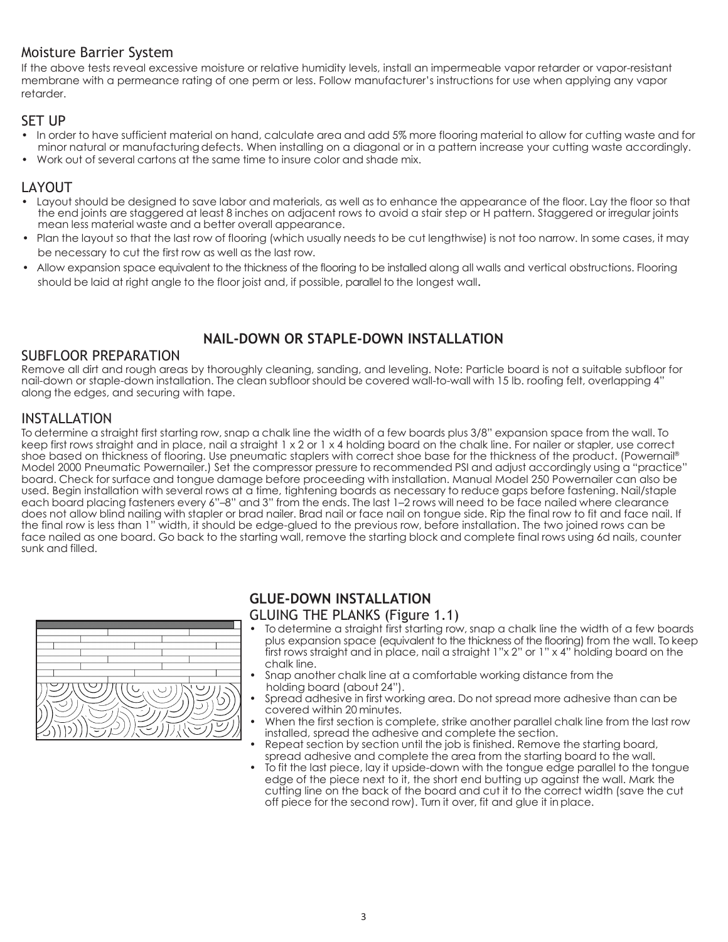## Moisture Barrier System

If the above tests reveal excessive moisture or relative humidity levels, install an impermeable vapor retarder or vapor-resistant membrane with a permeance rating of one perm or less. Follow manufacturer's instructions for use when applying any vapor retarder.

#### **SET UP**

- In order to have sufficient material on hand, calculate area and add 5% more flooring material to allow for cutting waste and for minor natural or manufacturingdefects. When installing on a diagonal or in a pattern increase your cutting waste accordingly.
- Work out of several cartons at the same time to insure color and shade mix.

## LAYOUT

- Layout should be designed to save labor and materials, as well as to enhance the appearance of the floor. Lay the floor so that the end joints are staggered at least 8 inches on adjacent rows to avoid a stair step or H pattern. Staggered or irregular joints mean less material waste and a better overall appearance.
- Plan the layout so that the last row of flooring (which usually needs to be cut lengthwise) is not too narrow. In some cases, it may be necessary to cut the first row as well as the last row.
- Allow expansion space equivalent to the thickness of the flooring to be installed along all walls and vertical obstructions. Flooring should be laid at right angle to the floor joist and, if possible, parallel to the longest wall.

## **NAIL-DOWN OR STAPLE-DOWN INSTALLATION**

## SUBFLOOR PREPARATION

Remove all dirt and rough areas by thoroughly cleaning, sanding, and leveling. Note: Particle board is not a suitable subfloor for nail-down or staple-down installation. The clean subfloor should be covered wall-to-wall with 15 lb. roofing felt, overlapping 4" along the edges, and securing with tape.

## INSTALLATION

To determine a straight first starting row, snap a chalk line the width of a few boards plus 3/8" expansion space from the wall. To keep first rows straight and in place, nail a straight 1 x 2 or 1 x 4 holding board on the chalk line. For nailer or stapler, use correct shoe based on thickness of flooring. Use pneumatic staplers with correct shoe base for the thickness of the product. (Powernail® Model 2000 Pneumatic Powernailer.) Set the compressor pressure to recommended PSI and adjust accordingly using a "practice" board. Check for surface and tongue damage before proceeding with installation. Manual Model 250 Powernailer can also be used. Begin installation with several rows at a time, tightening boards as necessary to reduce gaps before fastening. Nail/staple each board placing fasteners every 6"–8" and 3" from the ends. The last 1–2 rows will need to be face nailed where clearance does not allow blind nailing with stapler or brad nailer. Brad nail or face nail on tongue side. Rip the final row to fit and face nail. If the final row is less than 1" width, it should be edge-glued to the previous row, before installation. The two joined rows can be face nailed as one board. Go back to the starting wall, remove the starting block and complete final rows using 6d nails, counter sunk and filled.



## **GLUE-DOWN INSTALLATION**

## GLUING THE PLANKS (Figure 1.1)

- To determine a straight first starting row, snap a chalk line the width of a few boards plus expansion space (equivalent to the thickness of the flooring) from the wall. To keep first rows straight and in place, nail a straight 1"x 2" or 1" x 4" holding board on the chalk line.
- Snap another chalk line at a comfortable working distance from the holding board (about 24").
- Spread adhesive in first working area. Do not spread more adhesive than can be covered within 20 minutes.
- When the first section is complete, strike another parallel chalk line from the last row installed, spread the adhesive and complete the section.
- Repeat section by section until the job is finished. Remove the starting board, spread adhesive and complete the area from the starting board to the wall.
- To fit the last piece, lay it upside-down with the tongue edge parallel to the tongue edge of the piece next to it, the short end butting up against the wall. Mark the cutting line on the back of the board and cut it to the correct width (save the cut off piece for the second row). Turn it over, fit and glue it in place.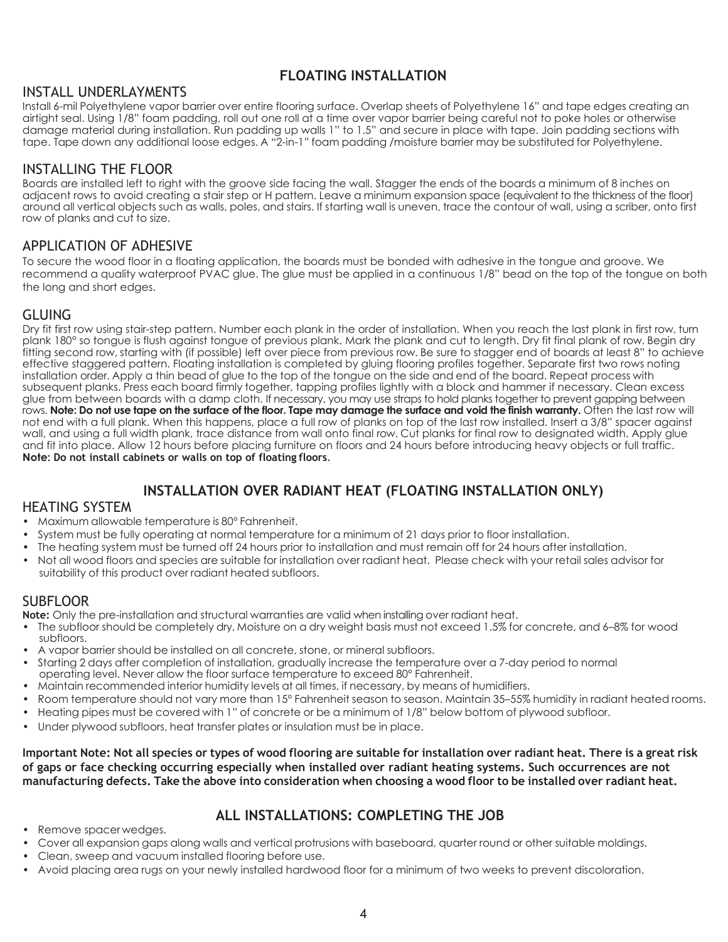## **FLOATING INSTALLATION**

## INSTALL UNDERLAYMENTS

Install 6-mil Polyethylene vapor barrier over entire flooring surface. Overlap sheets of Polyethylene 16" and tape edges creating an airtight seal. Using 1/8" foam padding, roll out one roll at a time over vapor barrier being careful not to poke holes or otherwise damage material during installation. Run padding up walls 1" to 1.5" and secure in place with tape. Join padding sections with tape. Tape down any additional loose edges. A "2-in-1" foam padding /moisture barrier may be substituted for Polyethylene.

## INSTALLING THE FLOOR

Boards are installed left to right with the groove side facing the wall. Stagger the ends of the boards a minimum of 8 inches on adjacent rows to avoid creating a stair step or H pattern. Leave a minimum expansion space (equivalent to the thickness of the floor) around all vertical objects such as walls, poles, and stairs. If starting wall is uneven, trace the contour of wall, using a scriber, onto first row of planks and cut to size.

## APPLICATION OF ADHESIVE

To secure the wood floor in a floating application, the boards must be bonded with adhesive in the tongue and groove. We recommend a quality waterproof PVAC glue. The glue must be applied in a continuous 1/8" bead on the top of the tongue on both the long and short edges.

## GLUING

Dry fit first row using stair-step pattern. Number each plank in the order of installation. When you reach the last plank in first row, turn plank 180° so tongue is flush against tongue of previous plank. Mark the plank and cut to length. Dry fit final plank of row. Begin dry fitting second row, starting with (if possible) left over piece from previous row. Be sure to stagger end of boards at least 8" to achieve effective staggered pattern. Floating installation is completed by gluing flooring profiles together. Separate first two rows noting installation order. Apply a thin bead of glue to the top of the tongue on the side and end of the board. Repeat process with subsequent planks. Press each board firmly together, tapping profiles lightly with a block and hammer if necessary. Clean excess glue from between boards with a damp cloth. If necessary, you may use straps to hold planks together to prevent gapping between rows. **Note: Do not use tape on the surface of the floor. Tape may damage the surface and void the finish warranty.** Often the last row will not end with a full plank. When this happens, place a full row of planks on top of the last row installed. Insert a 3/8" spacer against wall, and using a full width plank, trace distance from wall onto final row. Cut planks for final row to designated width. Apply glue and fit into place. Allow 12 hours before placing furniture on floors and 24 hours before introducing heavy objects or full traffic. **Note: Do not install cabinets or walls on top of floating floors**.

## **INSTALLATION OVER RADIANT HEAT (FLOATING INSTALLATION ONLY)**

## HEATING SYSTEM

- Maximum allowable temperature is 80° Fahrenheit.
- System must be fully operating at normal temperature for a minimum of 21 days prior to floor installation.
- The heating system must be turned off 24 hours prior to installation and must remain off for 24 hours after installation.
- Not all wood floors and species are suitable for installation over radiant heat. Please check with your retail sales advisor for suitability of this product over radiant heated subfloors.

## SUBFLOOR

**Note:** Only the pre-installation and structural warranties are valid when installing over radiant heat.

- The subfloor should be completely dry. Moisture on a dry weight basis must not exceed 1.5% for concrete, and 6–8% for wood subfloors.
- A vapor barrier should be installed on all concrete, stone, or mineral subfloors.
- Starting 2 days after completion of installation, gradually increase the temperature over a 7-day period to normal operating level. Never allow the floor surface temperature to exceed 80° Fahrenheit.
- Maintain recommended interior humidity levels at all times, if necessary, by means of humidifiers.
- Room temperature should not vary more than 15° Fahrenheit season to season. Maintain 35–55% humidity in radiant heated rooms.
- Heating pipes must be covered with 1" of concrete or be a minimum of 1/8" below bottom of plywood subfloor.
- Under plywood subfloors, heat transfer plates or insulation must be in place.

Important Note: Not all species or types of wood flooring are suitable for installation over radiant heat. There is a great risk **of gaps or face checking occurring especially when installed over radiant heating systems. Such occurrences are not**  manufacturing defects. Take the above into consideration when choosing a wood floor to be installed over radiant heat.

## **ALL INSTALLATIONS: COMPLETING THE JOB**

- Remove spacer wedges.
- Cover all expansion gaps along walls and vertical protrusions with baseboard, quarter round or other suitable moldings.
- Clean, sweep and vacuum installed flooring before use.
- Avoid placing area rugs on your newly installed hardwood floor for a minimum of two weeks to prevent discoloration.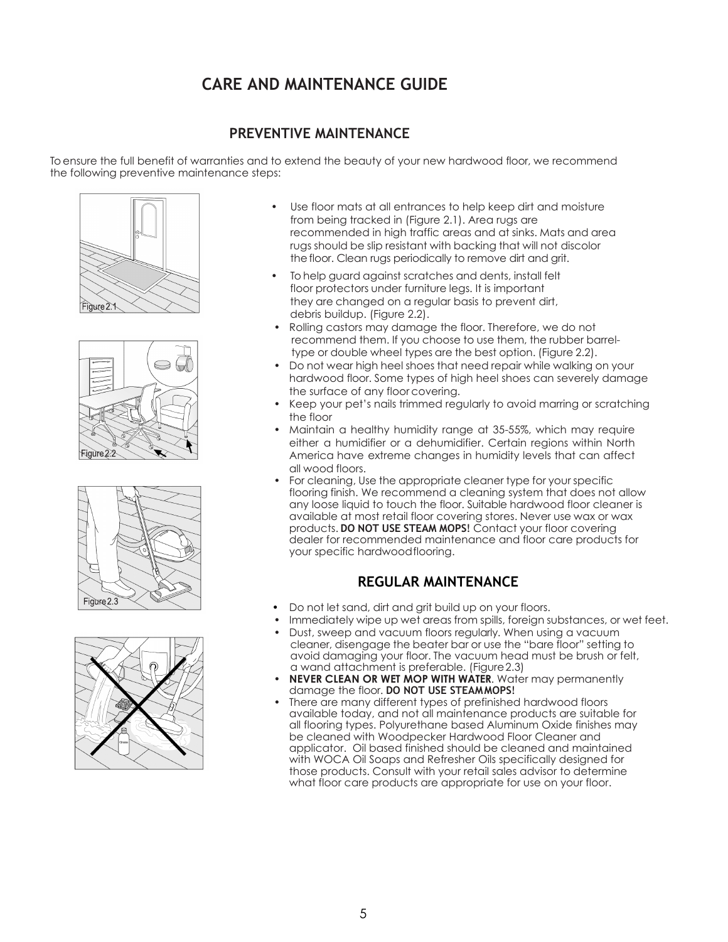## **CARE AND MAINTENANCE GUIDE**

## **PREVENTIVE MAINTENANCE**

To ensure the full benefit of warranties and to extend the beauty of your new hardwood floor, we recommend the following preventive maintenance steps:









- Use floor mats at all entrances to help keep dirt and moisture from being tracked in (Figure 2.1). Area rugs are recommended in high traffic areas and at sinks. Mats and area rugs should be slip resistant with backing that will not discolor the floor. Clean rugs periodically to remove dirt and grit.
- To help guard against scratches and dents, install felt floor protectors under furniture legs. It is important they are changed on a regular basis to prevent dirt, debris buildup. (Figure 2.2).
- Rolling castors may damage the floor. Therefore, we do not recommend them. If you choose to use them, the rubber barreltype or double wheel types are the best option. (Figure 2.2).
- Do not wear high heel shoes that need repair while walking on your hardwood floor. Some types of high heel shoes can severely damage the surface of any floor covering.
- Keep your pet's nails trimmed regularly to avoid marring or scratching the floor
- Maintain a healthy humidity range at 35-55%, which may require either a humidifier or a dehumidifier. Certain regions within North America have extreme changes in humidity levels that can affect all wood floors.
- For cleaning, Use the appropriate cleaner type for your specific flooring finish. We recommend a cleaning system that does not allow any loose liquid to touch the floor. Suitable hardwood floor cleaner is available at most retail floor covering stores. Never use wax or wax products. **DO NOT USE STEAM MOPS**! Contact your floor covering dealer for recommended maintenance and floor care products for your specific hardwoodflooring.

## **REGULAR MAINTENANCE**

- Do not let sand, dirt and grit build up on your floors.
- Immediately wipe up wet areas from spills, foreign substances, or wet feet.
- Dust, sweep and vacuum floors regularly. When using a vacuum cleaner, disengage the beater bar or use the "bare floor" setting to avoid damaging your floor. The vacuum head must be brush or felt, a wand attachment is preferable. (Figure2.3)
- **NEVER CLEAN OR WET MOP WITH WATER.** Water may permanently damage the floor. **DO NOT USE STEAMMOPS**!
- There are many different types of prefinished hardwood floors available today, and not all maintenance products are suitable for all flooring types. Polyurethane based Aluminum Oxide finishes may be cleaned with Woodpecker Hardwood Floor Cleaner and applicator. Oil based finished should be cleaned and maintained with WOCA Oil Soaps and Refresher Oils specifically designed for those products. Consult with your retail sales advisor to determine what floor care products are appropriate for use on your floor.